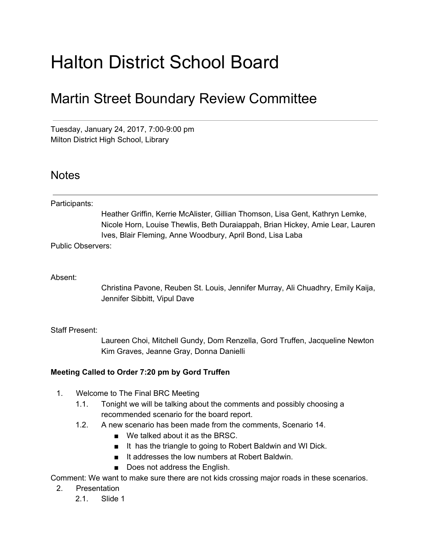# Halton District School Board

## Martin Street Boundary Review Committee

Tuesday, January 24, 2017, 7:00-9:00 pm Milton District High School, Library

### **Notes**

Participants:

Heather Griffin, Kerrie McAlister, Gillian Thomson, Lisa Gent, Kathryn Lemke, Nicole Horn, Louise Thewlis, Beth Duraiappah, Brian Hickey, Amie Lear, Lauren Ives, Blair Fleming, Anne Woodbury, April Bond, Lisa Laba

Public Observers:

#### Absent:

Christina Pavone, Reuben St. Louis, Jennifer Murray, Ali Chuadhry, Emily Kaija, Jennifer Sibbitt, Vipul Dave

#### Staff Present:

Laureen Choi, Mitchell Gundy, Dom Renzella, Gord Truffen, Jacqueline Newton Kim Graves, Jeanne Gray, Donna Danielli

#### **Meeting Called to Order 7:20 pm by Gord Truffen**

- 1. Welcome to The Final BRC Meeting
	- 1.1. Tonight we will be talking about the comments and possibly choosing a recommended scenario for the board report.
	- 1.2. A new scenario has been made from the comments, Scenario 14.
		- We talked about it as the BRSC.
		- It has the triangle to going to Robert Baldwin and WI Dick.
		- It addresses the low numbers at Robert Baldwin.
		- Does not address the English.

Comment: We want to make sure there are not kids crossing major roads in these scenarios.

- 2. Presentation
	- 2.1. Slide 1